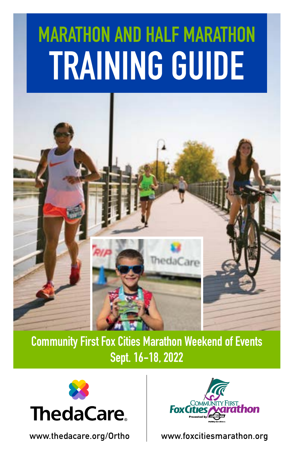# TRAINING GUIDE MARATHON AND HALF MARATHON



Community First Fox Cities Marathon Weekend of Events Sept. 16-18, 2022





www.thedacare.org/Ortho www.foxcitiesmarathon.org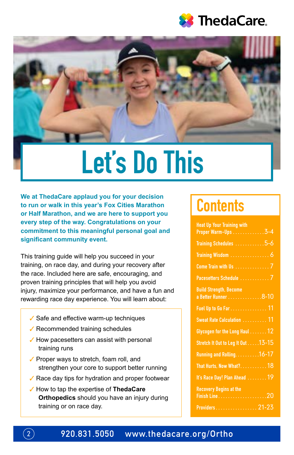



# Let's Do This

**We at ThedaCare applaud you for your decision to run or walk in this year's Fox Cities Marathon or Half Marathon, and we are here to support you every step of the way. Congratulations on your commitment to this meaningful personal goal and significant community event.**

This training guide will help you succeed in your training, on race day, and during your recovery after the race. Included here are safe, encouraging, and proven training principles that will help you avoid injury, maximize your performance, and have a fun and rewarding race day experience. You will learn about:

- ✓ Safe and effective warm-up techniques
- ✓ Recommended training schedules
- $\checkmark$  How pacesetters can assist with personal training runs
- ✓ Proper ways to stretch, foam roll, and strengthen your core to support better running
- ✓ Race day tips for hydration and proper footwear
- ✓ How to tap the expertise of **ThedaCare Orthopedics** should you have an injury during training or on race day.

## **Contents**

| <b>Heat Up Your Training with</b>                     |
|-------------------------------------------------------|
| Proper Warm-Ups 3-4                                   |
| Training Schedules 5-6                                |
|                                                       |
|                                                       |
| Pacesetters Schedule  7                               |
| <b>Build Strength, Become</b><br>a Better Runner 8-10 |
| Fuel Up to Go Far 11                                  |
| Sweat Rate Calculation  11                            |
| Glycogen for the Long Haul 12                         |
| Stretch It Out to Leg It Out 13-15                    |
| Running and Rolling. 16-17                            |
| That Hurts, Now What?18                               |
| It's Race Day! Plan Ahead  19                         |
| <b>Recovery Begins at the</b>                         |
|                                                       |
| Providers 21-23                                       |

 $\left( 2\right)$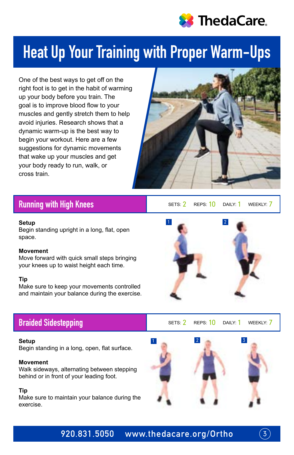

## Heat Up Your Training with Proper Warm-Ups

One of the best ways to get off on the right foot is to get in the habit of warming up your body before you train. The goal is to improve blood flow to your muscles and gently stretch them to help avoid injuries. Research shows that a dynamic warm-up is the best way to begin your workout. Here are a few suggestions for dynamic movements that wake up your muscles and get your body ready to run, walk, or cross train.



### Running with High Knees

#### **Setup**

Begin standing upright in a long, flat, open space.

#### **Movement**

Move forward with quick small steps bringing your knees up to waist height each time.

#### **Tip**

Make sure to keep your movements controlled and maintain your balance during the exercise.



#### **Setup**

Begin standing in a long, open, flat surface.

#### **Movement**

Walk sideways, alternating between stepping behind or in front of your leading foot.

### **Tip**

Make sure to maintain your balance during the exercise.



SETS:  $\sqrt{2}$  REPS:  $\sqrt{10}$  Daily:  $\sqrt{10}$  Weekly:  $\sqrt{7}$ 

### Braided Sidestepping SETS: 2 REPS: 10 DAILY: 1 WEEKLY: 7





 $\overline{3}$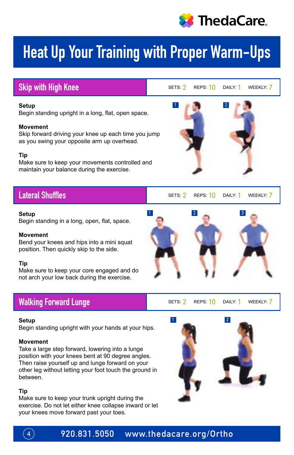

## Heat Up Your Training with Proper Warm-Ups

1

### Skip with High Knee Settle Settle Settle SETS: 2 REPS: 10 DAILY: 1 WEEKLY: 7

2

#### **Setup**

Begin standing upright in a long, flat, open space.

### **Movement**

Skip forward driving your knee up each time you jump as you swing your opposite arm up overhead.

### **Tip**

Make sure to keep your movements controlled and maintain your balance during the exercise.

### Lateral Shuffles

#### **Setup**

Begin standing in a long, open, flat, space.

### **Movement**

Bend your knees and hips into a mini squat position. Then quickly skip to the side.

### **Tip**

Make sure to keep your core engaged and do not arch your low back during the exercise.

### Walking Forward Lunge Sets: 2 Reps: 10 DAILY: 1 WEEKLY: 7

#### **Setup**

Begin standing upright with your hands at your hips.

#### **Movement**

Take a large step forward, lowering into a lunge position with your knees bent at 90 degree angles. Then raise yourself up and lunge forward on your other leg without letting your foot touch the ground in between.

### **Tip**

Make sure to keep your trunk upright during the exercise. Do not let either knee collapse inward or let your knees move forward past your toes.



 $1$ 



2

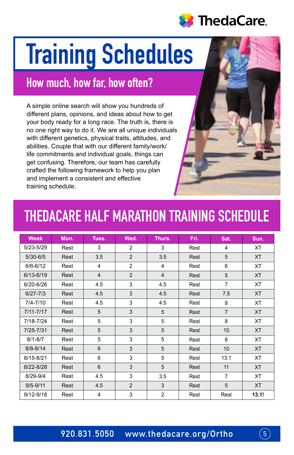

# **Training Schedules**

## How much, how far, how often?

A simple online search will show you hundreds of different plans, opinions, and ideas about how to get your body ready for a long race. The truth is, there is no one right way to do it. We are all unique individuals with different genetics, physical traits, attitudes, and abilities. Couple that with our different family/work/ life commitments and individual goals, things can get confusing. Therefore, our team has carefully crafted the following framework to help you plan and implement a consistent and effective training schedule.

## THEDACARE HALF MARATHON TRAINING SCHEDULE

| <b>Week</b>   | Mon. | Tues.                   | Wed.           | Thurs.         | Fri. | Sat.           | Sun.      |
|---------------|------|-------------------------|----------------|----------------|------|----------------|-----------|
| 5/23-5/29     | Rest | 3                       | 2              | 3              | Rest | 4              | XT        |
| $5/30 - 6/5$  | Rest | 3.5                     | $\overline{2}$ | 3.5            | Rest | 5              | <b>XT</b> |
| $6/6 - 6/12$  | Rest | 4                       | $\overline{2}$ | 4              | Rest | 6              | <b>XT</b> |
| 6/13-6/19     | Rest | $\overline{4}$          | $\overline{2}$ | $\overline{4}$ | Rest | 5              | <b>XT</b> |
| 6/20-6/26     | Rest | 4.5                     | 3              | 4.5            | Rest | $\overline{7}$ | <b>XT</b> |
| $6/27 - 7/3$  | Rest | 4.5                     | 3              | 4.5            | Rest | 7.5            | <b>XT</b> |
| $7/4 - 7/10$  | Rest | 4.5                     | 3              | 4.5            | Rest | 8              | <b>XT</b> |
| $7/11 - 7/17$ | Rest | 5                       | 3              | 5              | Rest | $\overline{7}$ | <b>XT</b> |
| 7/18-7/24     | Rest | 5                       | 3              | 5              | Rest | 8              | <b>XT</b> |
| 7/25-7/31     | Rest | 5                       | 3              | 5              | Rest | 10             | <b>XT</b> |
| $8/1 - 8/7$   | Rest | 5                       | 3              | 5              | Rest | 8              | <b>XT</b> |
| $8/8 - 8/14$  | Rest | 6                       | 3              | 5              | Rest | 10             | <b>XT</b> |
| 8/15-8/21     | Rest | 6                       | 3              | 5              | Rest | 13.1           | <b>XT</b> |
| 8/22-8/28     | Rest | 6                       | 3              | 5              | Rest | 11             | <b>XT</b> |
| 8/29-9/4      | Rest | 4.5                     | 3              | 3.5            | Rest | $\overline{7}$ | XT        |
| $9/5 - 9/11$  | Rest | 4.5                     | $\overline{2}$ | 3              | Rest | 5              | <b>XT</b> |
| $9/12 - 9/18$ | Rest | $\overline{\mathbf{4}}$ | 3              | $\overline{2}$ | Rest | Rest           | 13.1!     |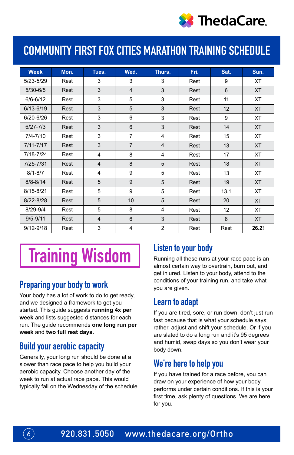

## COMMUNITY FIRST FOX CITIES MARATHON TRAINING SCHEDULE

| <b>Week</b>   | Mon. | Tues.          | Wed.           | Thurs.         | Fri. | Sat. | Sun.      |
|---------------|------|----------------|----------------|----------------|------|------|-----------|
| 5/23-5/29     | Rest | 3              | 3              | 3              | Rest | 9    | XT        |
| $5/30 - 6/5$  | Rest | 3              | $\overline{4}$ | 3              | Rest | 6    | <b>XT</b> |
| $6/6 - 6/12$  | Rest | 3              | 5              | 3              | Rest | 11   | XT        |
| $6/13 - 6/19$ | Rest | 3              | 5              | 3              | Rest | 12   | <b>XT</b> |
| 6/20-6/26     | Rest | 3              | 6              | 3              | Rest | 9    | XT        |
| $6/27 - 7/3$  | Rest | 3              | 6              | 3              | Rest | 14   | <b>XT</b> |
| $7/4 - 7/10$  | Rest | 3              | $\overline{7}$ | 4              | Rest | 15   | ХT        |
| $7/11 - 7/17$ | Rest | 3              | $\overline{7}$ | $\overline{4}$ | Rest | 13   | <b>XT</b> |
| 7/18-7/24     | Rest | 4              | 8              | 4              | Rest | 17   | <b>XT</b> |
| 7/25-7/31     | Rest | $\overline{4}$ | 8              | 5              | Rest | 18   | <b>XT</b> |
| $8/1 - 8/7$   | Rest | $\overline{4}$ | 9              | 5              | Rest | 13   | <b>XT</b> |
| $8/8 - 8/14$  | Rest | 5              | 9              | 5              | Rest | 19   | <b>XT</b> |
| 8/15-8/21     | Rest | 5              | 9              | 5              | Rest | 13.1 | <b>XT</b> |
| 8/22-8/28     | Rest | 5              | 10             | 5              | Rest | 20   | <b>XT</b> |
| 8/29-9/4      | Rest | 5              | 8              | 4              | Rest | 12   | <b>XT</b> |
| $9/5 - 9/11$  | Rest | $\overline{4}$ | 6              | 3              | Rest | 8    | <b>XT</b> |
| $9/12 - 9/18$ | Rest | 3              | 4              | $\overline{2}$ | Rest | Rest | 26.2!     |

## Training Wisdom

### Preparing your body to work

Your body has a lot of work to do to get ready, and we designed a framework to get you started. This guide suggests **running 4x per week** and lists suggested distances for each run. The guide recommends **one long run per week** and **two full rest days.**

### Build your aerobic capacity

Generally, your long run should be done at a slower than race pace to help you build your aerobic capacity. Choose another day of the week to run at actual race pace. This would typically fall on the Wednesday of the schedule.

### Listen to your body

Running all these runs at your race pace is an almost certain way to overtrain, burn out, and get injured. Listen to your body, attend to the conditions of your training run, and take what you are given.

### Learn to adapt

If you are tired, sore, or run down, don't just run fast because that is what your schedule says; rather, adjust and shift your schedule. Or if you are slated to do a long run and it's 95 degrees and humid, swap days so you don't wear your body down.

### We're here to help you

If you have trained for a race before, you can draw on your experience of how your body performs under certain conditions. If this is your first time, ask plenty of questions. We are here for you.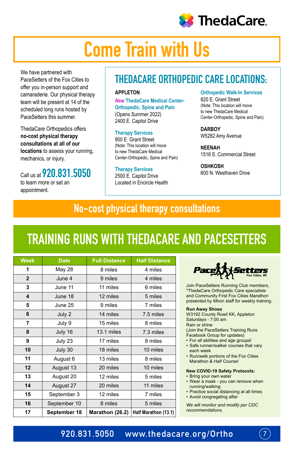

## Come Train with Us

We have partnered with PaceSetters of the Fox Cities to offer you in-person support and camaraderie. Our physical therapy team will be present at 14 of the scheduled long runs hosted by PaceSetters this summer.

ThedaCare Orthopedics offers **no-cost physical therapy consultations at all of our locations** to assess your running, mechanics, or injury.

Call us at **920.831.5050** to learn more or set an appointment.

## THEDACARE ORTHOPEDIC CARE LOCATIONS:

### **APPLETON**

*New* **ThedaCare Medical Center-Orthopedic, Spine and Pain** (Opens Summer 2022) 2400 E. Capitol Drive

### **Therapy Services**

900 E. Grant Street (Note: This location will move to new ThedaCare Medical Center-Orthopedic, Spine and Pain)

**Therapy Services** 2500 E. Capitol Drive Located in Encircle Health **Orthopedic Walk-In Services** 820 E. Grant Street (Note: This location will move to new ThedaCare Medical Center-Orthopedic, Spine and Pain)

**DARBOY** W5282 Amy Avenue

**NEENAH** 1516 S. Commercial Street

#### **OSHKOSH** 600 N. Westhaven Drive

## No-cost physical therapy consultations

## TRAINING RUNS WITH THEDACARE AND PACESETTERS

| <b>Week</b>    | <b>Date</b>  | <b>Full Distance</b> | <b>Half Distance</b> |
|----------------|--------------|----------------------|----------------------|
| 1              | May 28       | 8 miles              | 4 miles              |
| $\overline{2}$ | June 4       | 9 miles              | 4 miles              |
| 3              | June 11      | 11 miles             | 6 miles              |
| 4              | June 18      | 12 miles             | 5 miles              |
| 5              | June 25      | 9 miles              | 7 miles              |
| 6              | July 2       | 14 miles             | 7.5 miles            |
| 7              | July 9       | 15 miles             | 8 miles              |
| 8              | July 16      | 13.1 miles           | 7.3 miles            |
| 9              | July 23      | 17 miles             | 8 miles              |
| 10             | July 30      | 18 miles             | 10 miles             |
| 11             | August 6     | 13 miles             | 8 miles              |
| 12             | August 13    | 20 miles             | 10 miles             |
| 13             | August 20    | 12 miles             | 5 miles              |
| 14             | August 27    | 20 miles             | 11 miles             |
| 15             | September 3  | 12 miles             | 7 miles              |
| 16             | September 10 | 8 miles              | 5 miles              |
| 17             | September 18 | Marathon (26.2)      | Half Marathon (13.1) |

ietters

Join PaceSetters Running Club members, \*ThedaCare Orthopedic Care specialists and Community First Fox Cities Marathon presented by Miron staff for weekly training.

#### **Run Away Shoes**

W3192 County Road KK, Appleton Saturdays - 7:00 am Rain or shine (Join the PaceSetters Training Runs Facebook Group for updates)

- For all abilities and age groups!
- Safe runner/walker courses that vary each week
- Run/walk portions of the Fox Cities Marathon & Half Course!

#### **New COVID-19 Safety Protocols:**

- Bring your own water • Wear a mask - you can remove when running/walking
- Practice social distancing at all times
- Avoid congregating after

*We will monitor and modify per CDC recommendations.* 

7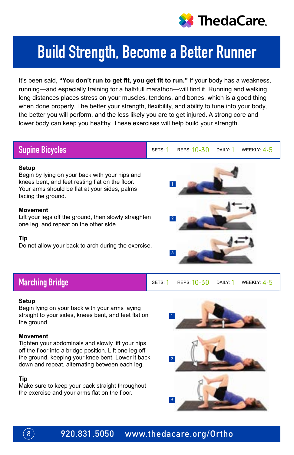

## Build Strength, Become a Better Runner

It's been said, **"You don't run to get fit, you get fit to run."** If your body has a weakness, running—and especially training for a half/full marathon—will find it. Running and walking long distances places stress on your muscles, tendons, and bones, which is a good thing when done properly. The better your strength, flexibility, and ability to tune into your body, the better you will perform, and the less likely you are to get injured. A strong core and lower body can keep you healthy. These exercises will help build your strength.

### Supine Bicycles

#### **Setup**

Begin by lying on your back with your hips and knees bent, and feet resting flat on the floor. Your arms should be flat at your sides, palms facing the ground.

### **Movement**

Lift your legs off the ground, then slowly straighten one leg, and repeat on the other side.

### **Tip**

Do not allow your back to arch during the exercise.



SETS:  $1$  REPS:  $10 - 30$  DAILY:  $1$  WEEKLY:  $4 - 5$ 

Marching Bridge Sets: Reprinting Sets: 1 November 2014

#### **Setup**

Begin lying on your back with your arms laying straight to your sides, knees bent, and feet flat on the ground.

### **Movement**

Tighten your abdominals and slowly lift your hips off the floor into a bridge position. Lift one leg off the ground, keeping your knee bent. Lower it back down and repeat, alternating between each leg.

### **Tip**

 $\left[8\right)$ 

Make sure to keep your back straight throughout the exercise and your arms flat on the floor.

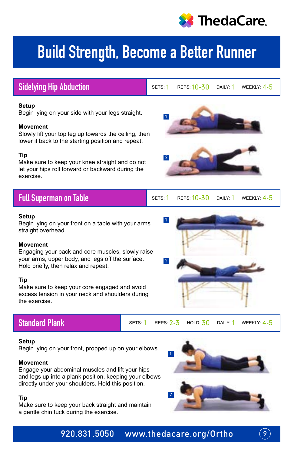

## Build Strength, Become a Better Runner

### **Setup** Begin lying on your side with your legs straight. **Movement** Slowly lift your top leg up towards the ceiling, then lower it back to the starting position and repeat. **Tip** Make sure to keep your knee straight and do not let your hips roll forward or backward during the exercise. Full Superman on Table **Setup** Begin lying on your front on a table with your arms straight overhead. **Movement** Engaging your back and core muscles, slowly raise your arms, upper body, and legs off the surface. Hold briefly, then relax and repeat. SETS:  $1$  REPS:  $10 - 30$  Daily:  $1$  Weekly:  $4 - 5$ Sidelying Hip Abduction Settle Settle Settle Reps: 10-30 DAILY: 1 WEEKLY: 4-5 1 2 1 2

### **Tip**

Make sure to keep your core engaged and avoid excess tension in your neck and shoulders during the exercise.

Standard Plank SETS: 1 SETS: 1 REPS: 2-3 HOLD: 30 DAILY: 1 WEEKLY: 4-5

### **Setup**

Begin lying on your front, propped up on your elbows.

### **Movement**

Engage your abdominal muscles and lift your hips and legs up into a plank position, keeping your elbows directly under your shoulders. Hold this position.

### **Tip**

Make sure to keep your back straight and maintain a gentle chin tuck during the exercise.



9

### 920.831.5050 www.thedacare.org/Ortho



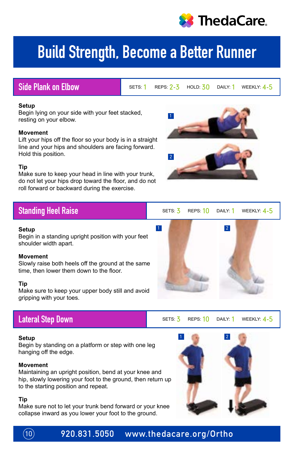

## Build Strength, Become a Better Runner

1

2

### Side Plank on Elbow

SETS:  $1$  REPS:  $2-3$  HOLD:  $30$  DAILY:  $1$  WEEKLY:  $4-5$ 

### **Setup**

Begin lying on your side with your feet stacked, resting on your elbow.

### **Movement**

Lift your hips off the floor so your body is in a straight line and your hips and shoulders are facing forward. Hold this position.

### **Tip**

Make sure to keep your head in line with your trunk, do not let your hips drop toward the floor, and do not roll forward or backward during the exercise.

### Standing Heel Raise

### **Setup**

Begin in a standing upright position with your feet shoulder width apart.

### **Movement**

Slowly raise both heels off the ground at the same time, then lower them down to the floor.

### **Tip**

Make sure to keep your upper body still and avoid gripping with your toes.

### Lateral Step Down

### **Setup**

Begin by standing on a platform or step with one leg hanging off the edge.

### **Movement**

Maintaining an upright position, bend at your knee and hip, slowly lowering your foot to the ground, then return up to the starting position and repeat.

### **Tip**

Make sure not to let your trunk bend forward or your knee collapse inward as you lower your foot to the ground.



SETS:  $\frac{7}{5}$  REPS:  $\frac{10}{10}$  Daily:  $\frac{1}{10}$  Weekly:  $\frac{4-5}{10}$ 



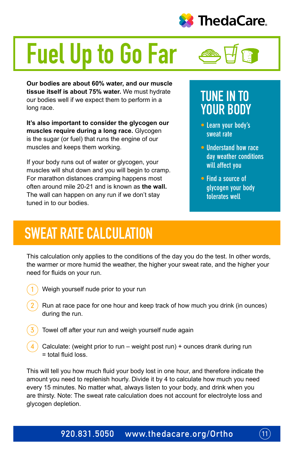

# Fuel Up to Go Far

**Our bodies are about 60% water, and our muscle tissue itself is about 75% water.** We must hydrate our bodies well if we expect them to perform in a long race.

**It's also important to consider the glycogen our muscles require during a long race.** Glycogen is the sugar (or fuel) that runs the engine of our muscles and keeps them working.

If your body runs out of water or glycogen, your muscles will shut down and you will begin to cramp. For marathon distances cramping happens most often around mile 20-21 and is known as **the wall.** The wall can happen on any run if we don't stay tuned in to our bodies.

## TUNE IN TO YOUR BODY

- **• Learn your body's sweat rate**
- **• Understand how race day weather conditions will affect you**
- **• Find a source of glycogen your body tolerates well**

## SWEAT RATE CALCULATION

This calculation only applies to the conditions of the day you do the test. In other words, the warmer or more humid the weather, the higher your sweat rate, and the higher your need for fluids on your run.

1

Weigh yourself nude prior to your run

- Run at race pace for one hour and keep track of how much you drink (in ounces) during the run. 2
- Towel off after your run and weigh yourself nude again 3
- Calculate: (weight prior to run weight post run) + ounces drank during run = total fluid loss. 4

This will tell you how much fluid your body lost in one hour, and therefore indicate the amount you need to replenish hourly. Divide it by 4 to calculate how much you need every 15 minutes. No matter what, always listen to your body, and drink when you are thirsty. Note: The sweat rate calculation does not account for electrolyte loss and glycogen depletion.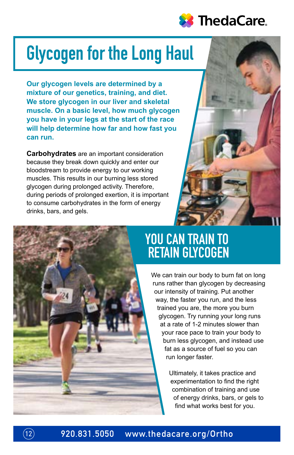

## Glycogen for the Long Haul

**Our glycogen levels are determined by a mixture of our genetics, training, and diet. We store glycogen in our liver and skeletal muscle. On a basic level, how much glycogen you have in your legs at the start of the race will help determine how far and how fast you can run.**

**Carbohydrates** are an important consideration because they break down quickly and enter our bloodstream to provide energy to our working muscles. This results in our burning less stored glycogen during prolonged activity. Therefore, during periods of prolonged exertion, it is important to consume carbohydrates in the form of energy drinks, bars, and gels.





## YOU CAN TRAIN TO RETAIN GLYCOGEN

We can train our body to burn fat on long runs rather than glycogen by decreasing our intensity of training. Put another way, the faster you run, and the less trained you are, the more you burn glycogen. Try running your long runs at a rate of 1-2 minutes slower than your race pace to train your body to burn less glycogen, and instead use fat as a source of fuel so you can run longer faster.

> Ultimately, it takes practice and experimentation to find the right combination of training and use of energy drinks, bars, or gels to find what works best for you.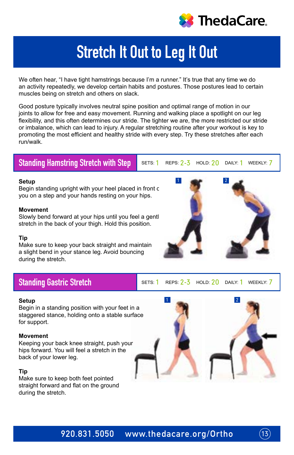

## Stretch It Out to Leg It Out

We often hear, "I have tight hamstrings because I'm a runner." It's true that any time we do an activity repeatedly, we develop certain habits and postures. Those postures lead to certain muscles being on stretch and others on slack.

Good posture typically involves neutral spine position and optimal range of motion in our joints to allow for free and easy movement. Running and walking place a spotlight on our leg flexibility, and this often determines our stride. The tighter we are, the more restricted our stride or imbalance, which can lead to injury. A regular stretching routine after your workout is key to promoting the most efficient and healthy stride with every step. Try these stretches after each run/walk.

### Standing Hamstring Stretch with Step

SETS: 1 REPS: 2-3 HOLD: 20 DAILY: 1 WEEKLY: 7

### **Setup**

Begin standing upright with your heel placed in front c you on a step and your hands resting on your hips.

### **Movement**

Slowly bend forward at your hips until you feel a gentl stretch in the back of your thigh. Hold this position.

### **Tip**

Make sure to keep your back straight and maintain a slight bend in your stance leg. Avoid bouncing during the stretch.

### Standing Gastric Stretch

SETS: 1 REPS: 2-3 HOLD: 20 DAILY: 1 WEEKLY: 7

### **Setup**

Begin in a standing position with your feet in a staggered stance, holding onto a stable surface for support.

### **Movement**

Keeping your back knee straight, push your hips forward. You will feel a stretch in the back of your lower leg.

### **Tip**

Make sure to keep both feet pointed straight forward and flat on the ground during the stretch.



 $(13)$ 

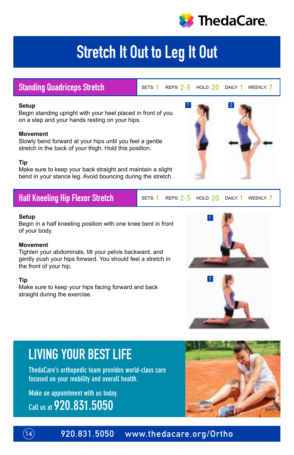

## Stretch It Out to Leg It Out

### Standing Quadriceps Stretch

SETS: 1 REPS: 2-3 HOLD: 20 DAILY: 1 WEEKLY: 7

1 2

### **Setup**

Begin standing upright with your heel placed in front of you on a step and your hands resting on your hips.

### **Movement**

Slowly bend forward at your hips until you feel a gentle stretch in the back of your thigh. Hold this position.

### **Tip**

Make sure to keep your back straight and maintain a slight bend in your stance leg. Avoid bouncing during the stretch.

### standing Cuadrice<br>Standard Cuadrice Street Half Kneeling Hip Flexor Stretch

SETS:  $1$  REPS:  $2-\overline{3}$  HOLD:  $20$  DAILY:  $1$  WEEKLY:  $7$ 

### **Setup**

Begin in a half kneeling position with one knee bent in front of your body.

### **Movement**

Tighten your abdominals, tilt your pelvis backward, and gently push your hips forward. You should feel a stretch in the front of your hip.

### **Tip**

Make sure to keep your hips facing forward and back straight during the exercise.





## LIVING YOUR BEST LIFE

**ThedaCare's orthopedic team provides world-class care focused on your mobility and overall health.**

**Make an appointment with us today. Call us at 920.831.5050**



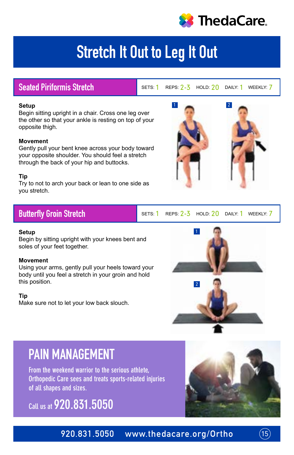

## Stretch It Out to Leg It Out

### Seated Piriformis Stretch

SETS: 1 REPS: 2-3 HOLD: 20 DAILY: 1 WEEKLY: 7

1 2

### **Setup**

Begin sitting upright in a chair. Cross one leg over the other so that your ankle is resting on top of your opposite thigh.

### **Movement**

Gently pull your bent knee across your body toward your opposite shoulder. You should feel a stretch through the back of your hip and buttocks.

### **Tip**

you stretch. Try to not to arch your back or lean to one side as

### Butterfly Groin Stretch

SETS: 1 REPS: 2-3 HOLD: 20 DAILY: 1 WEEKLY: 7

### **Setup**

Begin by sitting upright with your knees bent and soles of your feet together.

### **Movement**

Using your arms, gently pull your heels toward your body until you feel a stretch in your groin and hold this position.

### **Tip**

Make sure not to let your low back slouch.



## PAIN MANAGEMENT

**From the weekend warrior to the serious athlete, Orthopedic Care sees and treats sports-related injuries of all shapes and sizes.**

**Call us at 920.831.5050**





15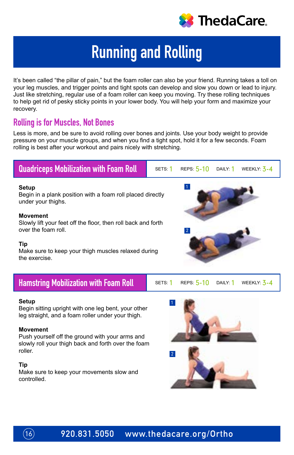

## Running and Rolling

It's been called "the pillar of pain," but the foam roller can also be your friend. Running takes a toll on your leg muscles, and trigger points and tight spots can develop and slow you down or lead to injury. Just like stretching, regular use of a foam roller can keep you moving. Try these rolling techniques to help get rid of pesky sticky points in your lower body. You will help your form and maximize your recovery.

### Rolling is for Muscles, Not Bones

 $(16)$ 

Less is more, and be sure to avoid rolling over bones and joints. Use your body weight to provide pressure on your muscle groups, and when you find a tight spot, hold it for a few seconds. Foam rolling is best after your workout and pairs nicely with stretching.

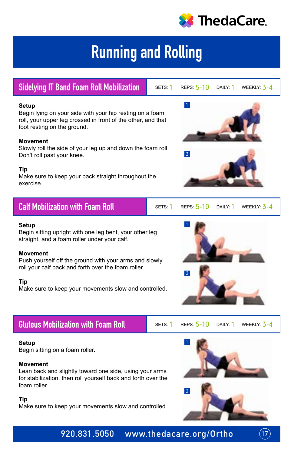

## Running and Rolling

Sidelying IT Band Foam Roll Mobilization

### SETS: 1 REPS:  $5-10$  DAILY: 1 WEEKLY:  $3-4$

1

2

### **Setup**

Begin lying on your side with your hip resting on a foam roll, your upper leg crossed in front of the other, and that foot resting on the ground.

### **Movement**

Slowly roll the side of your leg up and down the foam roll. Don't roll past your knee.

### **Tip**

Make sure to keep your back straight throughout the exercise.

| <b>Calf Mobilization with Foam Roll</b> |  |  |  | SETS: 1 REPS: $5-10$ DAILY: 1 WEEKLY: $3-4$ |  |
|-----------------------------------------|--|--|--|---------------------------------------------|--|
|-----------------------------------------|--|--|--|---------------------------------------------|--|

### **Setup**

Begin sitting upright with one leg bent, your other leg straight, and a foam roller under your calf.

### **Movement**

Push yourself off the ground with your arms and slowly roll your calf back and forth over the foam roller.

### **Tip**

Make sure to keep your movements slow and controlled.

### Gluteus Mobilization with Foam Roll

### **Setup**

Begin sitting on a foam roller.

### **Movement**

Lean back and slightly toward one side, using your arms for stabilization, then roll yourself back and forth over the foam roller.

### **Tip**

Make sure to keep your movements slow and controlled.





SETS: 1 REPS: 5-10 DAILY: 1 WEEKLY: 3-4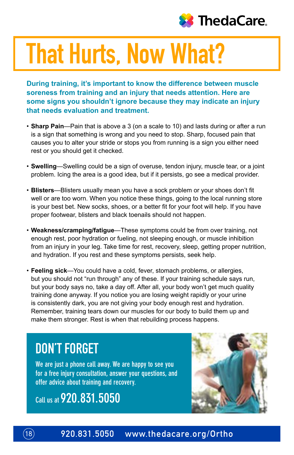

# That Hurts, Now What?

**During training, it's important to know the difference between muscle soreness from training and an injury that needs attention. Here are some signs you shouldn't ignore because they may indicate an injury that needs evaluation and treatment.**

- **Sharp Pain**—Pain that is above a 3 (on a scale to 10) and lasts during or after a run is a sign that something is wrong and you need to stop. Sharp, focused pain that causes you to alter your stride or stops you from running is a sign you either need rest or you should get it checked.
- **Swelling**—Swelling could be a sign of overuse, tendon injury, muscle tear, or a joint problem. Icing the area is a good idea, but if it persists, go see a medical provider.
- **Blisters**—Blisters usually mean you have a sock problem or your shoes don't fit well or are too worn. When you notice these things, going to the local running store is your best bet. New socks, shoes, or a better fit for your foot will help. If you have proper footwear, blisters and black toenails should not happen.
- **Weakness/cramping/fatigue**—These symptoms could be from over training, not enough rest, poor hydration or fueling, not sleeping enough, or muscle inhibition from an injury in your leg. Take time for rest, recovery, sleep, getting proper nutrition, and hydration. If you rest and these symptoms persists, seek help.
- **Feeling sick**—You could have a cold, fever, stomach problems, or allergies, but you should not "run through" any of these. If your training schedule says run, but your body says no, take a day off. After all, your body won't get much quality training done anyway. If you notice you are losing weight rapidly or your urine is consistently dark, you are not giving your body enough rest and hydration. Remember, training tears down our muscles for our body to build them up and make them stronger. Rest is when that rebuilding process happens.

## DON'T FORGET

**We are just a phone call away. We are happy to see you for a free injury consultation, answer your questions, and offer advice about training and recovery.**

**Call us at 920.831.5050**

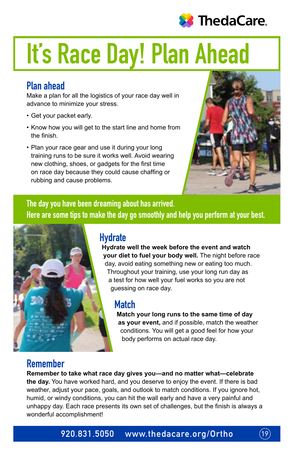

# It's Race Day! Plan Ahead

### Plan ahead

Make a plan for all the logistics of your race day well in advance to minimize your stress.

- Get your packet early.
- Know how you will get to the start line and home from the finish.
- Plan your race gear and use it during your long training runs to be sure it works well. Avoid wearing new clothing, shoes, or gadgets for the first time on race day because they could cause chaffing or rubbing and cause problems.



The day you have been dreaming about has arrived. Here are some tips to make the day go smoothly and help you perform at your best.



### **Hydrate**

**Hydrate well the week before the event and watch your diet to fuel your body well.** The night before race day, avoid eating something new or eating too much. Throughout your training, use your long run day as a test for how well your fuel works so you are not guessing on race day.

### Match

**Match your long runs to the same time of day as your event,** and if possible, match the weather conditions. You will get a good feel for how your body performs on actual race day.

## Remember

**Remember to take what race day gives you—and no matter what—celebrate the day.** You have worked hard, and you deserve to enjoy the event. If there is bad weather, adjust your pace, goals, and outlook to match conditions. If you ignore hot, humid, or windy conditions, you can hit the wall early and have a very painful and unhappy day. Each race presents its own set of challenges, but the finish is always a wonderful accomplishment!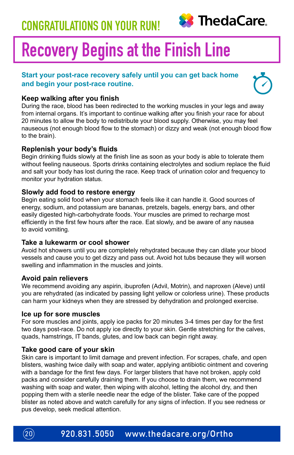

## Recovery Begins at the Finish Line

### **Start your post-race recovery safely until you can get back home and begin your post-race routine.**



### **Keep walking after you finish**

During the race, blood has been redirected to the working muscles in your legs and away from internal organs. It's important to continue walking after you finish your race for about 20 minutes to allow the body to redistribute your blood supply. Otherwise, you may feel nauseous (not enough blood flow to the stomach) or dizzy and weak (not enough blood flow to the brain).

### **Replenish your body's fluids**

Begin drinking fluids slowly at the finish line as soon as your body is able to tolerate them without feeling nauseous. Sports drinks containing electrolytes and sodium replace the fluid and salt your body has lost during the race. Keep track of urination color and frequency to monitor your hydration status.

### **Slowly add food to restore energy**

Begin eating solid food when your stomach feels like it can handle it. Good sources of energy, sodium, and potassium are bananas, pretzels, bagels, energy bars, and other easily digested high-carbohydrate foods. Your muscles are primed to recharge most efficiently in the first few hours after the race. Eat slowly, and be aware of any nausea to avoid vomiting.

### **Take a lukewarm or cool shower**

Avoid hot showers until you are completely rehydrated because they can dilate your blood vessels and cause you to get dizzy and pass out. Avoid hot tubs because they will worsen swelling and inflammation in the muscles and joints.

### **Avoid pain relievers**

We recommend avoiding any aspirin, ibuprofen (Advil, Motrin), and naproxen (Aleve) until you are rehydrated (as indicated by passing light yellow or colorless urine). These products can harm your kidneys when they are stressed by dehydration and prolonged exercise.

### **Ice up for sore muscles**

For sore muscles and joints, apply ice packs for 20 minutes 3-4 times per day for the first two days post-race. Do not apply ice directly to your skin. Gentle stretching for the calves, quads, hamstrings, IT bands, glutes, and low back can begin right away.

### **Take good care of your skin**

Skin care is important to limit damage and prevent infection. For scrapes, chafe, and open blisters, washing twice daily with soap and water, applying antibiotic ointment and covering with a bandage for the first few days. For larger blisters that have not broken, apply cold packs and consider carefully draining them. If you choose to drain them, we recommend washing with soap and water, then wiping with alcohol, letting the alcohol dry, and then popping them with a sterile needle near the edge of the blister. Take care of the popped blister as noted above and watch carefully for any signs of infection. If you see redness or pus develop, seek medical attention.

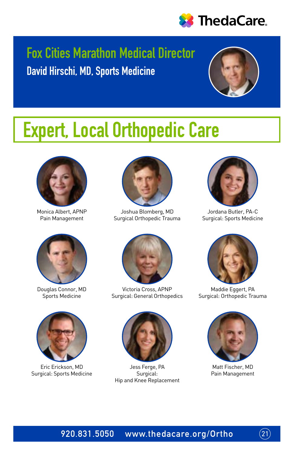

## Fox Cities Marathon Medical Director David Hirschi, MD, Sports Medicine



## Expert, Local Orthopedic Care



Monica Albert, APNP Pain Management



Douglas Connor, MD Sports Medicine



Eric Erickson, MD Surgical: Sports Medicine



Joshua Blomberg, MD Surgical Orthopedic Trauma



Victoria Cross, APNP Surgical: General Orthopedics



Jess Ferge, PA Surgical: Hip and Knee Replacement



Jordana Butler, PA-C Surgical: Sports Medicine



Maddie Eggert, PA Surgical: Orthopedic Trauma



Matt Fischer, MD Pain Management

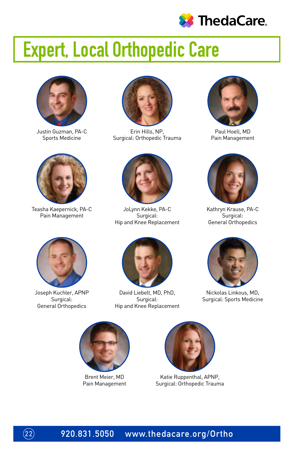

## Expert, Local Orthopedic Care



Justin Guzman, PA-C Sports Medicine



Teasha Kaepernick, PA-C Pain Management



Joseph Kuchler, APNP Surgical: General Orthopedics

 $(22)$ 



Erin Hills, NP, Surgical: Orthopedic Trauma



JoLynn Kekke, PA-C Surgical: Hip and Knee Replacement



David Liebelt, MD, PhD, Surgical: Hip and Knee Replacement



Paul Hoell, MD Pain Management



Kathryn Krause, PA-C Surgical: General Orthopedics



Nickolas Linkous, MD, Surgical: Sports Medicine



Brent Meier, MD Pain Management



Katie Ruppenthal, APNP, Surgical: Orthopedic Trauma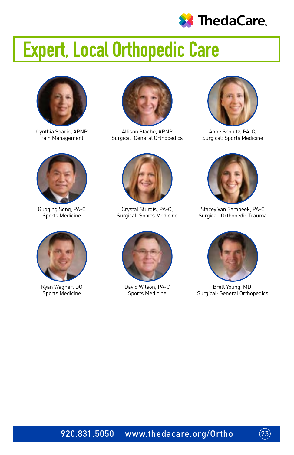

## Expert, Local Orthopedic Care



Cynthia Saario, APNP Pain Management



Guoqing Song, PA-C Sports Medicine



Ryan Wagner, DO Sports Medicine



Allison Stache, APNP Surgical: General Orthopedics



Crystal Sturgis, PA-C, Surgical: Sports Medicine



David Wilson, PA-C Sports Medicine



Anne Schultz, PA-C, Surgical: Sports Medicine



Stacey Van Sambeek, PA-C Surgical: Orthopedic Trauma



Brett Young, MD, Surgical: General Orthopedics